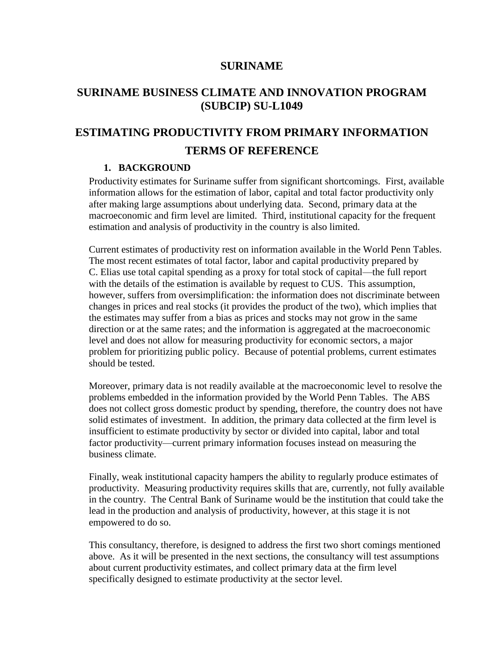## **SURINAME**

## **SURINAME BUSINESS CLIMATE AND INNOVATION PROGRAM (SUBCIP) SU-L1049**

# **ESTIMATING PRODUCTIVITY FROM PRIMARY INFORMATION TERMS OF REFERENCE**

#### **1. BACKGROUND**

Productivity estimates for Suriname suffer from significant shortcomings. First, available information allows for the estimation of labor, capital and total factor productivity only after making large assumptions about underlying data. Second, primary data at the macroeconomic and firm level are limited. Third, institutional capacity for the frequent estimation and analysis of productivity in the country is also limited.

Current estimates of productivity rest on information available in the World Penn Tables. The most recent estimates of total factor, labor and capital productivity prepared by C. Elias use total capital spending as a proxy for total stock of capital—the full report with the details of the estimation is available by request to CUS. This assumption, however, suffers from oversimplification: the information does not discriminate between changes in prices and real stocks (it provides the product of the two), which implies that the estimates may suffer from a bias as prices and stocks may not grow in the same direction or at the same rates; and the information is aggregated at the macroeconomic level and does not allow for measuring productivity for economic sectors, a major problem for prioritizing public policy. Because of potential problems, current estimates should be tested.

Moreover, primary data is not readily available at the macroeconomic level to resolve the problems embedded in the information provided by the World Penn Tables. The ABS does not collect gross domestic product by spending, therefore, the country does not have solid estimates of investment. In addition, the primary data collected at the firm level is insufficient to estimate productivity by sector or divided into capital, labor and total factor productivity—current primary information focuses instead on measuring the business climate.

Finally, weak institutional capacity hampers the ability to regularly produce estimates of productivity. Measuring productivity requires skills that are, currently, not fully available in the country. The Central Bank of Suriname would be the institution that could take the lead in the production and analysis of productivity, however, at this stage it is not empowered to do so.

This consultancy, therefore, is designed to address the first two short comings mentioned above. As it will be presented in the next sections, the consultancy will test assumptions about current productivity estimates, and collect primary data at the firm level specifically designed to estimate productivity at the sector level.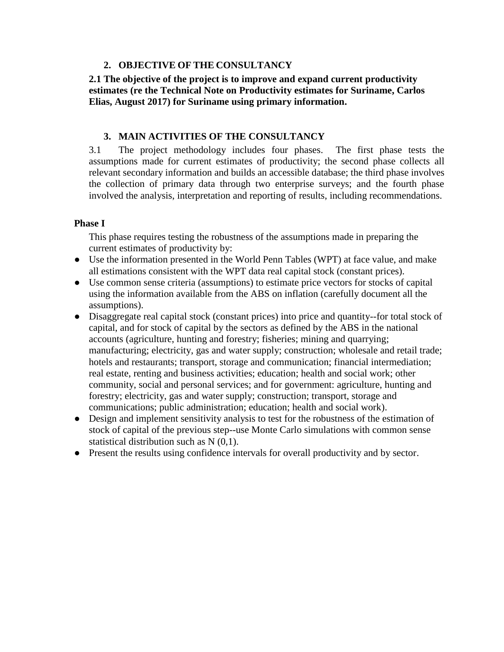#### **2. OBJECTIVE OF THE CONSULTANCY**

**2.1 The objective of the project is to improve and expand current productivity estimates (re the Technical Note on Productivity estimates for Suriname, Carlos Elias, August 2017) for Suriname using primary information.**

#### **3. MAIN ACTIVITIES OF THE CONSULTANCY**

3.1 The project methodology includes four phases. The first phase tests the assumptions made for current estimates of productivity; the second phase collects all relevant secondary information and builds an accessible database; the third phase involves the collection of primary data through two enterprise surveys; and the fourth phase involved the analysis, interpretation and reporting of results, including recommendations.

#### **Phase I**

This phase requires testing the robustness of the assumptions made in preparing the current estimates of productivity by:

- Use the information presented in the World Penn Tables (WPT) at face value, and make all estimations consistent with the WPT data real capital stock (constant prices).
- Use common sense criteria (assumptions) to estimate price vectors for stocks of capital using the information available from the ABS on inflation (carefully document all the assumptions).
- Disaggregate real capital stock (constant prices) into price and quantity--for total stock of capital, and for stock of capital by the sectors as defined by the ABS in the national accounts (agriculture, hunting and forestry; fisheries; mining and quarrying; manufacturing; electricity, gas and water supply; construction; wholesale and retail trade; hotels and restaurants; transport, storage and communication; financial intermediation; real estate, renting and business activities; education; health and social work; other community, social and personal services; and for government: agriculture, hunting and forestry; electricity, gas and water supply; construction; transport, storage and communications; public administration; education; health and social work).
- Design and implement sensitivity analysis to test for the robustness of the estimation of stock of capital of the previous step--use Monte Carlo simulations with common sense statistical distribution such as N (0,1).
- Present the results using confidence intervals for overall productivity and by sector.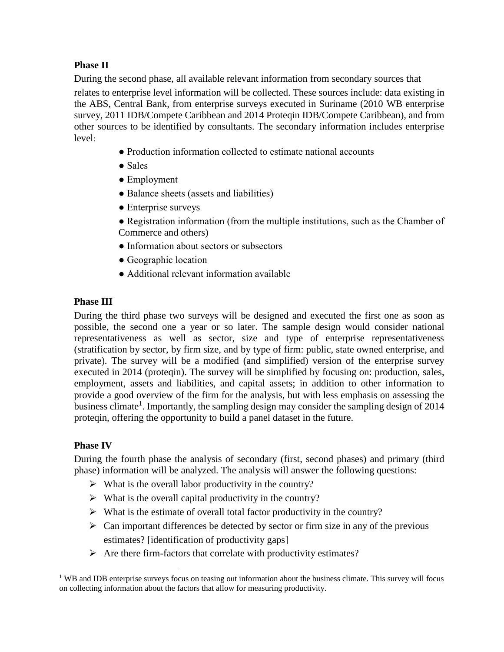## **Phase II**

During the second phase, all available relevant information from secondary sources that relates to enterprise level information will be collected. These sources include: data existing in the ABS, Central Bank, from enterprise surveys executed in Suriname (2010 WB enterprise survey, 2011 IDB/Compete Caribbean and 2014 Proteqin IDB/Compete Caribbean), and from other sources to be identified by consultants. The secondary information includes enterprise level:

- Production information collected to estimate national accounts
- Sales
- Employment
- Balance sheets (assets and liabilities)
- Enterprise surveys
- Registration information (from the multiple institutions, such as the Chamber of Commerce and others)
- Information about sectors or subsectors
- Geographic location
- Additional relevant information available

## **Phase III**

During the third phase two surveys will be designed and executed the first one as soon as possible, the second one a year or so later. The sample design would consider national representativeness as well as sector, size and type of enterprise representativeness (stratification by sector, by firm size, and by type of firm: public, state owned enterprise, and private). The survey will be a modified (and simplified) version of the enterprise survey executed in 2014 (proteqin). The survey will be simplified by focusing on: production, sales, employment, assets and liabilities, and capital assets; in addition to other information to provide a good overview of the firm for the analysis, but with less emphasis on assessing the business climate<sup>1</sup>. Importantly, the sampling design may consider the sampling design of 2014 proteqin, offering the opportunity to build a panel dataset in the future.

## **Phase IV**

During the fourth phase the analysis of secondary (first, second phases) and primary (third phase) information will be analyzed. The analysis will answer the following questions:

- $\triangleright$  What is the overall labor productivity in the country?
- $\triangleright$  What is the overall capital productivity in the country?
- $\triangleright$  What is the estimate of overall total factor productivity in the country?
- $\triangleright$  Can important differences be detected by sector or firm size in any of the previous estimates? [identification of productivity gaps]
- $\triangleright$  Are there firm-factors that correlate with productivity estimates?

 $\overline{a}$  $1$  WB and IDB enterprise surveys focus on teasing out information about the business climate. This survey will focus on collecting information about the factors that allow for measuring productivity.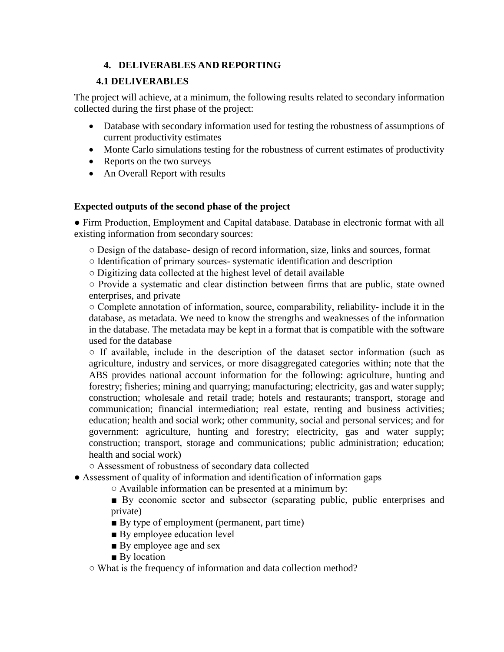## **4. DELIVERABLES AND REPORTING**

## **4.1 DELIVERABLES**

The project will achieve, at a minimum, the following results related to secondary information collected during the first phase of the project:

- Database with secondary information used for testing the robustness of assumptions of current productivity estimates
- Monte Carlo simulations testing for the robustness of current estimates of productivity
- Reports on the two surveys
- An Overall Report with results

## **Expected outputs of the second phase of the project**

● Firm Production, Employment and Capital database. Database in electronic format with all existing information from secondary sources:

○ Design of the database- design of record information, size, links and sources, format

○ Identification of primary sources- systematic identification and description

○ Digitizing data collected at the highest level of detail available

○ Provide a systematic and clear distinction between firms that are public, state owned enterprises, and private

○ Complete annotation of information, source, comparability, reliability- include it in the database, as metadata. We need to know the strengths and weaknesses of the information in the database. The metadata may be kept in a format that is compatible with the software used for the database

○ If available, include in the description of the dataset sector information (such as agriculture, industry and services, or more disaggregated categories within; note that the ABS provides national account information for the following: agriculture, hunting and forestry; fisheries; mining and quarrying; manufacturing; electricity, gas and water supply; construction; wholesale and retail trade; hotels and restaurants; transport, storage and communication; financial intermediation; real estate, renting and business activities; education; health and social work; other community, social and personal services; and for government: agriculture, hunting and forestry; electricity, gas and water supply; construction; transport, storage and communications; public administration; education; health and social work)

○ Assessment of robustness of secondary data collected

● Assessment of quality of information and identification of information gaps

○ Available information can be presented at a minimum by:

■ By economic sector and subsector (separating public, public enterprises and private)

- By type of employment (permanent, part time)
- By employee education level
- By employee age and sex
- By location

○ What is the frequency of information and data collection method?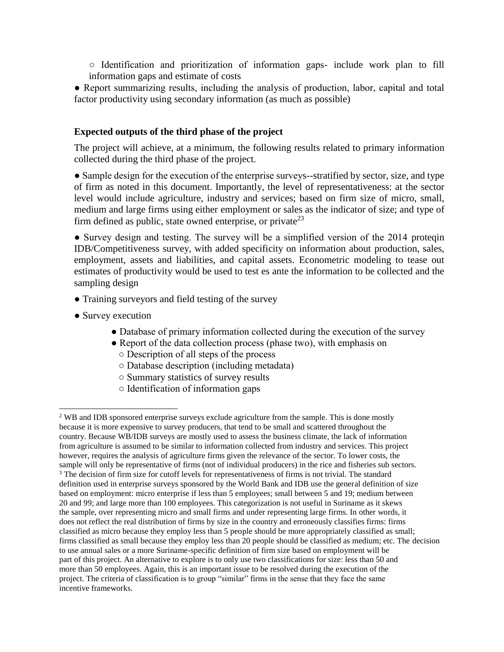○ Identification and prioritization of information gaps- include work plan to fill information gaps and estimate of costs

• Report summarizing results, including the analysis of production, labor, capital and total factor productivity using secondary information (as much as possible)

#### **Expected outputs of the third phase of the project**

The project will achieve, at a minimum, the following results related to primary information collected during the third phase of the project.

• Sample design for the execution of the enterprise surveys--stratified by sector, size, and type of firm as noted in this document. Importantly, the level of representativeness: at the sector level would include agriculture, industry and services; based on firm size of micro, small, medium and large firms using either employment or sales as the indicator of size; and type of firm defined as public, state owned enterprise, or private<sup>23</sup>

• Survey design and testing. The survey will be a simplified version of the 2014 proteqin IDB/Competitiveness survey, with added specificity on information about production, sales, employment, assets and liabilities, and capital assets. Econometric modeling to tease out estimates of productivity would be used to test es ante the information to be collected and the sampling design

- Training surveyors and field testing of the survey
- Survey execution

l

- Database of primary information collected during the execution of the survey
- Report of the data collection process (phase two), with emphasis on
	- Description of all steps of the process
	- Database description (including metadata)
	- Summary statistics of survey results
	- Identification of information gaps

<sup>&</sup>lt;sup>2</sup> WB and IDB sponsored enterprise surveys exclude agriculture from the sample. This is done mostly because it is more expensive to survey producers, that tend to be small and scattered throughout the country. Because WB/IDB surveys are mostly used to assess the business climate, the lack of information from agriculture is assumed to be similar to information collected from industry and services. This project however, requires the analysis of agriculture firms given the relevance of the sector. To lower costs, the sample will only be representative of firms (not of individual producers) in the rice and fisheries sub sectors. <sup>3</sup> The decision of firm size for cutoff levels for representativeness of firms is not trivial. The standard definition used in enterprise surveys sponsored by the World Bank and IDB use the general definition of size based on employment: micro enterprise if less than 5 employees; small between 5 and 19; medium between 20 and 99; and large more than 100 employees. This categorization is not useful in Suriname as it skews the sample, over representing micro and small firms and under representing large firms. In other words, it does not reflect the real distribution of firms by size in the country and erroneously classifies firms: firms classified as micro because they employ less than 5 people should be more appropriately classified as small; firms classified as small because they employ less than 20 people should be classified as medium; etc. The decision to use annual sales or a more Suriname-specific definition of firm size based on employment will be part of this project. An alternative to explore is to only use two classifications for size: less than 50 and more than 50 employees. Again, this is an important issue to be resolved during the execution of the project. The criteria of classification is to group "similar" firms in the sense that they face the same incentive frameworks.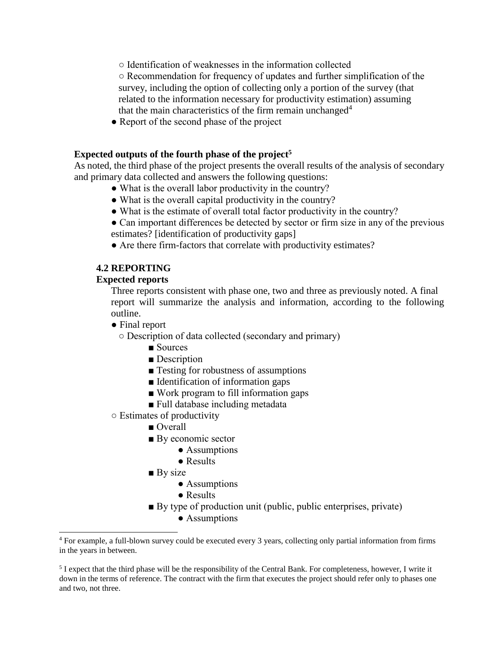○ Identification of weaknesses in the information collected

○ Recommendation for frequency of updates and further simplification of the survey, including the option of collecting only a portion of the survey (that related to the information necessary for productivity estimation) assuming that the main characteristics of the firm remain unchanged<sup>4</sup>

• Report of the second phase of the project

#### **Expected outputs of the fourth phase of the project 5**

As noted, the third phase of the project presents the overall results of the analysis of secondary and primary data collected and answers the following questions:

- What is the overall labor productivity in the country?
- What is the overall capital productivity in the country?
- What is the estimate of overall total factor productivity in the country?
- Can important differences be detected by sector or firm size in any of the previous estimates? [identification of productivity gaps]
- Are there firm-factors that correlate with productivity estimates?

## **4.2 REPORTING**

#### **Expected reports**

Three reports consistent with phase one, two and three as previously noted. A final report will summarize the analysis and information, according to the following outline.

● Final report

 $\overline{a}$ 

- Description of data collected (secondary and primary)
	- Sources
	- Description
	- Testing for robustness of assumptions
	- Identification of information gaps
	- Work program to fill information gaps
	- Full database including metadata
- Estimates of productivity
	- Overall
	- By economic sector
		- Assumptions
		- Results
	- $\blacksquare$  By size
		- Assumptions
		- Results
	- By type of production unit (public, public enterprises, private)
		- Assumptions

<sup>4</sup> For example, a full-blown survey could be executed every 3 years, collecting only partial information from firms in the years in between.

<sup>&</sup>lt;sup>5</sup> I expect that the third phase will be the responsibility of the Central Bank. For completeness, however, I write it down in the terms of reference. The contract with the firm that executes the project should refer only to phases one and two, not three.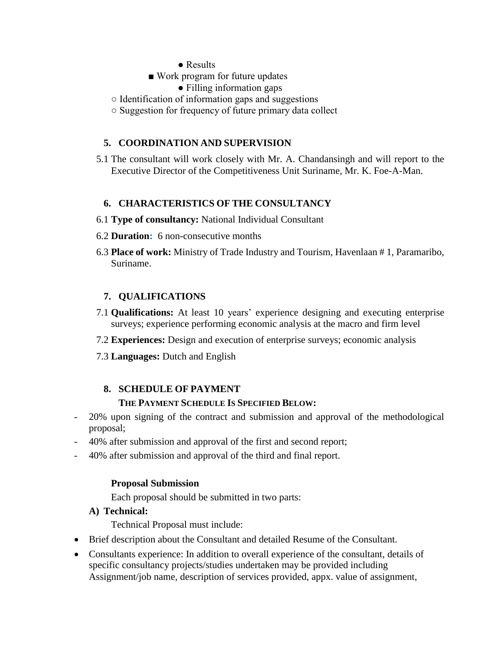- Results
- Work program for future updates
	- Filling information gaps
- Identification of information gaps and suggestions
- Suggestion for frequency of future primary data collect

## **5. COORDINATION AND SUPERVISION**

5.1 The consultant will work closely with Mr. A. Chandansingh and will report to the Executive Director of the Competitiveness Unit Suriname, Mr. K. Foe-A-Man.

## **6. CHARACTERISTICS OF THE CONSULTANCY**

- 6.1 **Type of consultancy:** National Individual Consultant
- 6.2 **Duration:** 6 non-consecutive months
- 6.3 **Place of work:** Ministry of Trade Industry and Tourism, Havenlaan # 1, Paramaribo, Suriname.

## **7. QUALIFICATIONS**

- 7.1 **Qualifications:** At least 10 years' experience designing and executing enterprise surveys; experience performing economic analysis at the macro and firm level
- 7.2 **Experiences:** Design and execution of enterprise surveys; economic analysis
- 7.3 **Languages:** Dutch and English

#### **8. SCHEDULE OF PAYMENT**

#### **THE PAYMENT SCHEDULE IS SPECIFIED BELOW:**

- 20% upon signing of the contract and submission and approval of the methodological proposal;
- 40% after submission and approval of the first and second report;
- 40% after submission and approval of the third and final report.

#### **Proposal Submission**

Each proposal should be submitted in two parts:

#### **A) Technical:**

Technical Proposal must include:

- Brief description about the Consultant and detailed Resume of the Consultant.
- Consultants experience: In addition to overall experience of the consultant, details of specific consultancy projects/studies undertaken may be provided including Assignment/job name, description of services provided, appx. value of assignment,